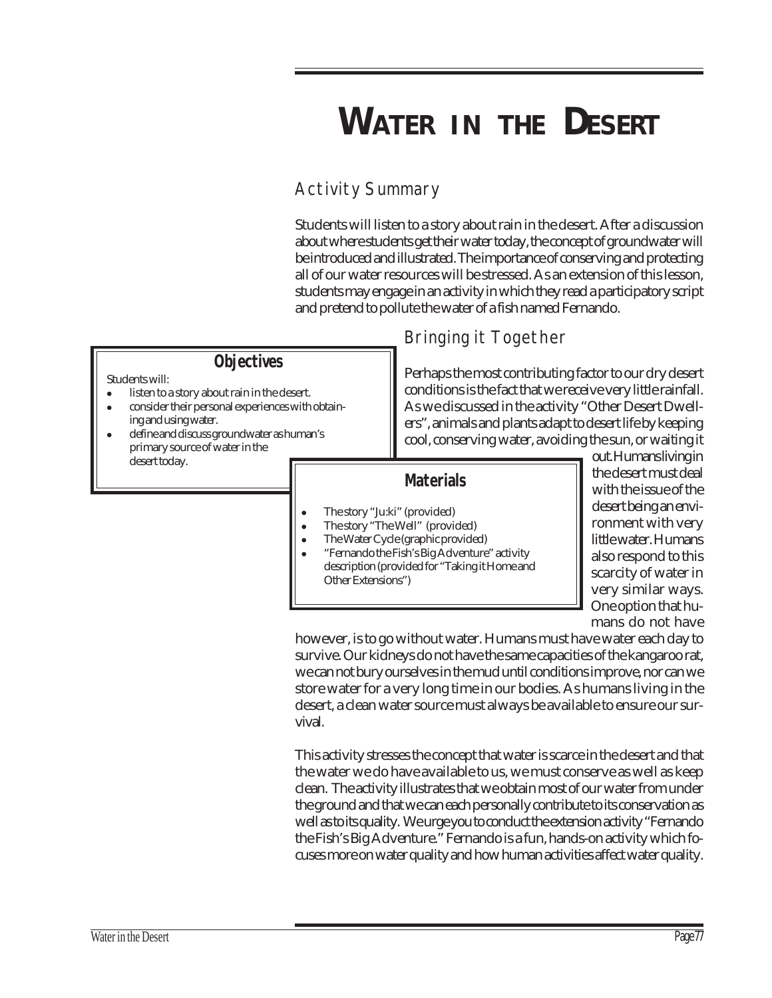# **WATER IN THE DESERT**

# Activity Summary

Students will listen to a story about rain in the desert. After a discussion about where students get their water today, the concept of groundwater will be introduced and illustrated. The importance of conserving and protecting all of our water resources will be stressed. As an extension of this lesson, students may engage in an activity in which they read a participatory script and pretend to pollute the water of a fish named Fernando.

### **Objectives**

#### Students will:

- listen to a story about rain in the desert.
- consider their personal experiences with obtaining and using water.
- ! define and discuss groundwater as human's primary source of water in the desert today.

# Bringing it Together

Perhaps the most contributing factor to our dry desert conditions is the fact that we receive very little rainfall. As we discussed in the activity "Other Desert Dwellers", animals and plants adapt to desert life by keeping cool, conserving water, avoiding the sun, or waiting it

### **Materials**

- ! The story "Ju:ki" (provided)
- ! The story "The Well" (provided)
- ! The Water Cycle (graphic provided)
- ! "Fernando the Fish's Big Adventure" activity description (provided for "Taking it Home and Other Extensions")

out. Humans living in the desert must deal with the issue of the desert being an environment with very little water. Humans also respond to this scarcity of water in very similar ways. One option that humans do not have

however, is to go without water. Humans must have water each day to survive. Our kidneys do not have the same capacities of the kangaroo rat, we can not bury ourselves in the mud until conditions improve, nor can we store water for a very long time in our bodies. As humans living in the desert, a clean water source must always be available to ensure our survival.

This activity stresses the concept that water is scarce in the desert and that the water we do have available to us, we must conserve as well as keep clean. The activity illustrates that we obtain most of our water from under the ground and that we can each personally contribute to its conservation as well as to its quality. We urge you to conduct the extension activity "Fernando the Fish's Big Adventure." Fernando is a fun, hands-on activity which focuses more on water quality and how human activities affect water quality.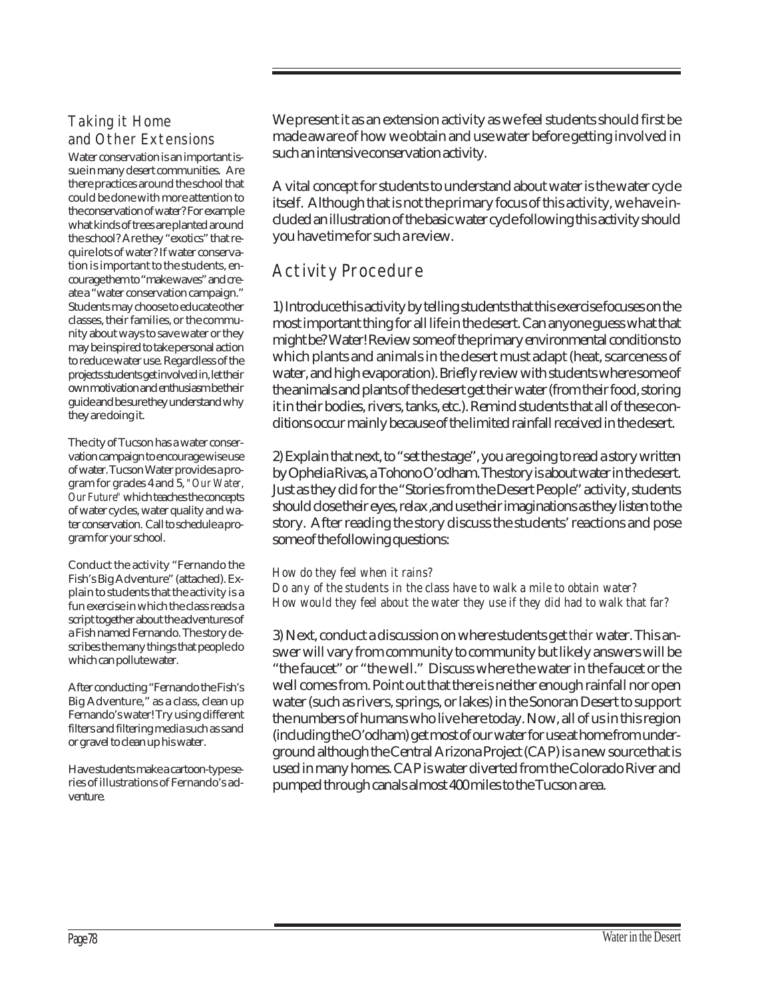#### Taking it Home and Other Extensions

Water conservation is an important issue in many desert communities. Are there practices around the school that could be done with more attention to the conservation of water? For example what kinds of trees are planted around the school? Are they "exotics" that require lots of water? If water conservation is important to the students, encourage them to "make waves" and create a "water conservation campaign." Students may choose to educate other classes, their families, or the community about ways to save water or they may be inspired to take personal action to reduce water use. Regardless of the projects students get involved in, let their own motivation and enthusiasm be their guide and be sure they understand why they are doing it.

The city of Tucson has a water conservation campaign to encourage wise use of water. Tucson Water provides a program for grades 4 and 5, *"Our Water, Our Future"* which teaches the concepts of water cycles, water quality and water conservation. Call to schedule a program for your school.

Conduct the activity "Fernando the Fish's Big Adventure" (attached). Explain to students that the activity is a fun exercise in which the class reads a script together about the adventures of a Fish named Fernando. The story describes the many things that people do which can pollute water.

After conducting "Fernando the Fish's Big Adventure," as a class, clean up Fernando's water! Try using different filters and filtering media such as sand or gravel to clean up his water.

Have students make a cartoon-type series of illustrations of Fernando's adventure.

We present it as an extension activity as we feel students should first be made aware of how we obtain and use water before getting involved in such an intensive conservation activity.

A vital concept for students to understand about water is the water cycle itself. Although that is not the primary focus of this activity, we have included an illustration of the basic water cycle following this activity should you have time for such a review.

### Activity Procedure

1) Introduce this activity by telling students that this exercise focuses on the most important thing for all life in the desert. Can anyone guess what that might be? Water! Review some of the primary environmental conditions to which plants and animals in the desert must adapt (heat, scarceness of water, and high evaporation). Briefly review with students where some of the animals and plants of the desert get their water (from their food, storing it in their bodies, rivers, tanks, etc.). Remind students that all of these conditions occur mainly because of the limited rainfall received in the desert.

2) Explain that next, to "set the stage", you are going to read a story written by Ophelia Rivas, a Tohono O'odham. The story is about water in the desert. Just as they did for the "Stories from the Desert People" activity, students should close their eyes, relax ,and use their imaginations as they listen to the story. After reading the story discuss the students' reactions and pose some of the following questions:

#### *How do they feel when it rains?*

*Do any of the students in the class have to walk a mile to obtain water? How would they feel about the water they use if they did had to walk that far?*

3) Next, conduct a discussion on where students get *their* water. This answer will vary from community to community but likely answers will be "the faucet" or "the well." Discuss where the water in the faucet or the well comes from. Point out that there is neither enough rainfall nor open water (such as rivers, springs, or lakes) in the Sonoran Desert to support the numbers of humans who live here today. Now, all of us in this region (including the O'odham) get most of our water for use at home from underground although the Central Arizona Project (CAP) is a new source that is used in many homes. CAP is water diverted from the Colorado River and pumped through canals almost 400 miles to the Tucson area.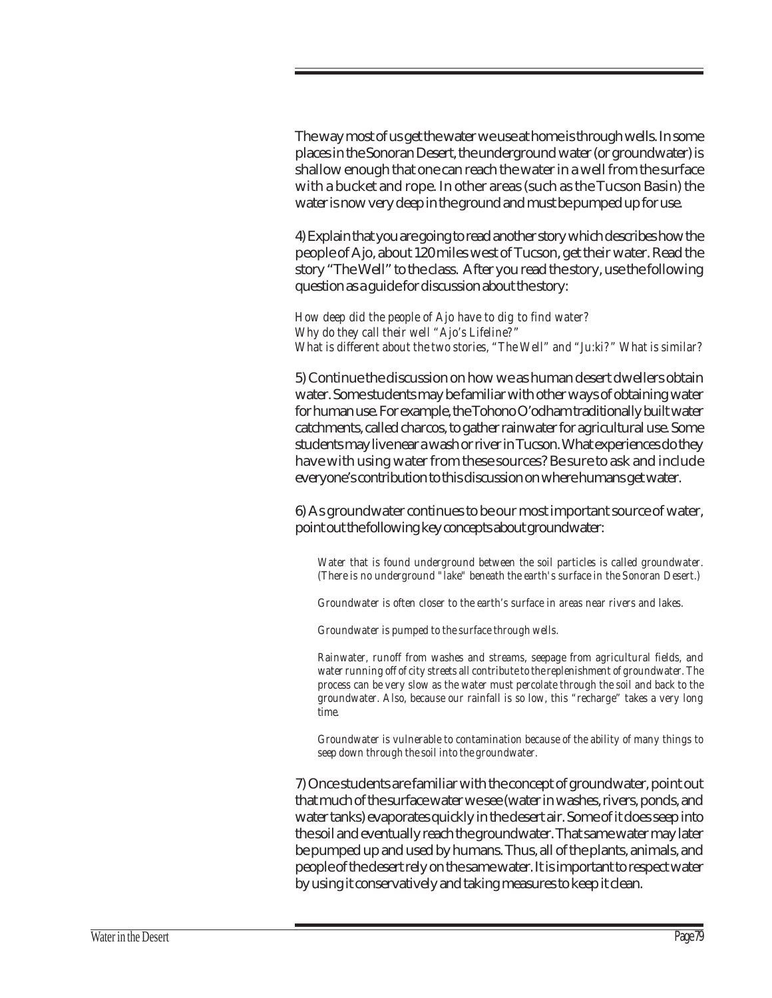The way most of us get the water we use at home is through wells. In some places in the Sonoran Desert, the underground water (or groundwater) is shallow enough that one can reach the water in a well from the surface with a bucket and rope. In other areas (such as the Tucson Basin) the water is now very deep in the ground and must be pumped up for use.

4) Explain that you are going to read another story which describes how the people of Ajo, about 120 miles west of Tucson, get their water. Read the story "The Well" to the class. After you read the story, use the following question as a guide for discussion about the story:

*How deep did the people of Ajo have to dig to find water? Why do they call their well "Ajo's Lifeline?" What is different about the two stories, "The Well" and "Ju:ki?" What is similar?*

5) Continue the discussion on how we as human desert dwellers obtain water. Some students may be familiar with other ways of obtaining water for human use. For example, the Tohono O'odham traditionally built water catchments, called charcos, to gather rainwater for agricultural use. Some students may live near a wash or river in Tucson. What experiences do they have with using water from these sources? Be sure to ask and include everyone's contribution to this discussion on where humans get water.

6) As groundwater continues to be our most important source of water, point out the following key concepts about groundwater:

*Water that is found underground between the soil particles is called groundwater. (There is no underground "lake" beneath the earth's surface in the Sonoran Desert.)*

*Groundwater is often closer to the earth's surface in areas near rivers and lakes.*

*Groundwater is pumped to the surface through wells.*

*Rainwater, runoff from washes and streams, seepage from agricultural fields, and water running off of city streets all contribute to the replenishment of groundwater. The process can be very slow as the water must percolate through the soil and back to the groundwater. Also, because our rainfall is so low, this "recharge" takes a very long time.*

*Groundwater is vulnerable to contamination because of the ability of many things to seep down through the soil into the groundwater.*

7) Once students are familiar with the concept of groundwater, point out that much of the surface water we see (water in washes, rivers, ponds, and water tanks) evaporates quickly in the desert air. Some of it does seep into the soil and eventually reach the groundwater. That same water may later be pumped up and used by humans. Thus, all of the plants, animals, and people of the desert rely on the same water. It is important to respect water by using it conservatively and taking measures to keep it clean.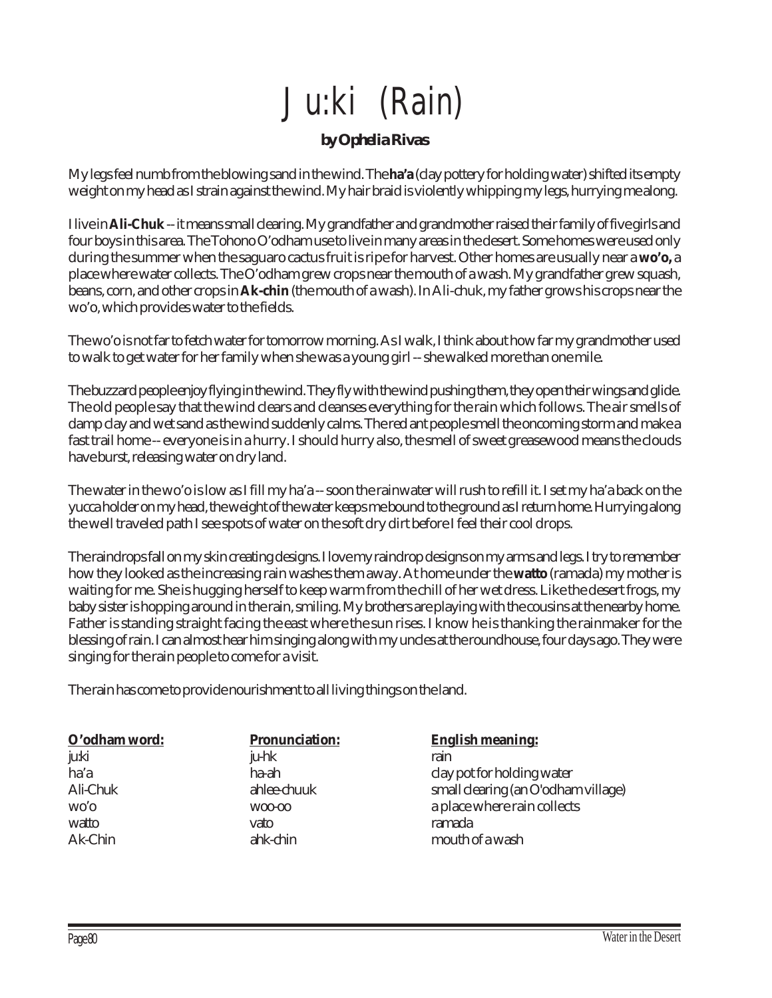# Ju:ki (Rain)

#### *by Ophelia Rivas*

My legs feel numb from the blowing sand in the wind. The **ha'a** (clay pottery for holding water) shifted its empty weight on my head as I strain against the wind. My hair braid is violently whipping my legs, hurrying me along.

I live in **Ali-Chuk** -- it means small clearing. My grandfather and grandmother raised their family of five girls and four boys in this area. The Tohono O'odham use to live in many areas in the desert. Some homes were used only during the summer when the saguaro cactus fruit is ripe for harvest. Other homes are usually near a **wo'o,** a place where water collects. The O'odham grew crops near the mouth of a wash. My grandfather grew squash, beans, corn, and other crops in **Ak-chin** (the mouth of a wash). In Ali-chuk, my father grows his crops near the wo'o, which provides water to the fields.

The wo'o is not far to fetch water for tomorrow morning. As I walk, I think about how far my grandmother used to walk to get water for her family when she was a young girl -- she walked more than one mile.

The buzzard people enjoy flying in the wind. They fly with the wind pushing them, they open their wings and glide. The old people say that the wind clears and cleanses everything for the rain which follows. The air smells of damp clay and wet sand as the wind suddenly calms. The red ant people smell the oncoming storm and make a fast trail home -- everyone is in a hurry. I should hurry also, the smell of sweet greasewood means the clouds have burst, releasing water on dry land.

The water in the wo'o is low as I fill my ha'a -- soon the rainwater will rush to refill it. I set my ha'a back on the yucca holder on my head, the weight of the water keeps me bound to the ground as I return home. Hurrying along the well traveled path I see spots of water on the soft dry dirt before I feel their cool drops.

The raindrops fall on my skin creating designs. I love my raindrop designs on my arms and legs. I try to remember how they looked as the increasing rain washes them away. At home under the **watto** (ramada) my mother is waiting for me. She is hugging herself to keep warm from the chill of her wet dress. Like the desert frogs, my baby sister is hopping around in the rain, smiling. My brothers are playing with the cousins at the nearby home. Father is standing straight facing the east where the sun rises. I know he is thanking the rainmaker for the blessing of rain. I can almost hear him singing along with my uncles at the roundhouse, four days ago. They were singing for the rain people to come for a visit.

The rain has come to provide nourishment to all living things on the land.

| O'odham word: | <b>Pronunciation:</b> | <b>English meaning:</b>             |
|---------------|-----------------------|-------------------------------------|
| ju:ki         | ju-hk                 | rain                                |
| ha'a          | ha-ah                 | clay pot for holding water          |
| Ali-Chuk      | ahlee-chuuk           | small clearing (an O'odham village) |
| wo'o          | W00-00                | a place where rain collects         |
| watto         | vato                  | ramada                              |
| Ak-Chin       | ahk-chin              | mouth of a wash                     |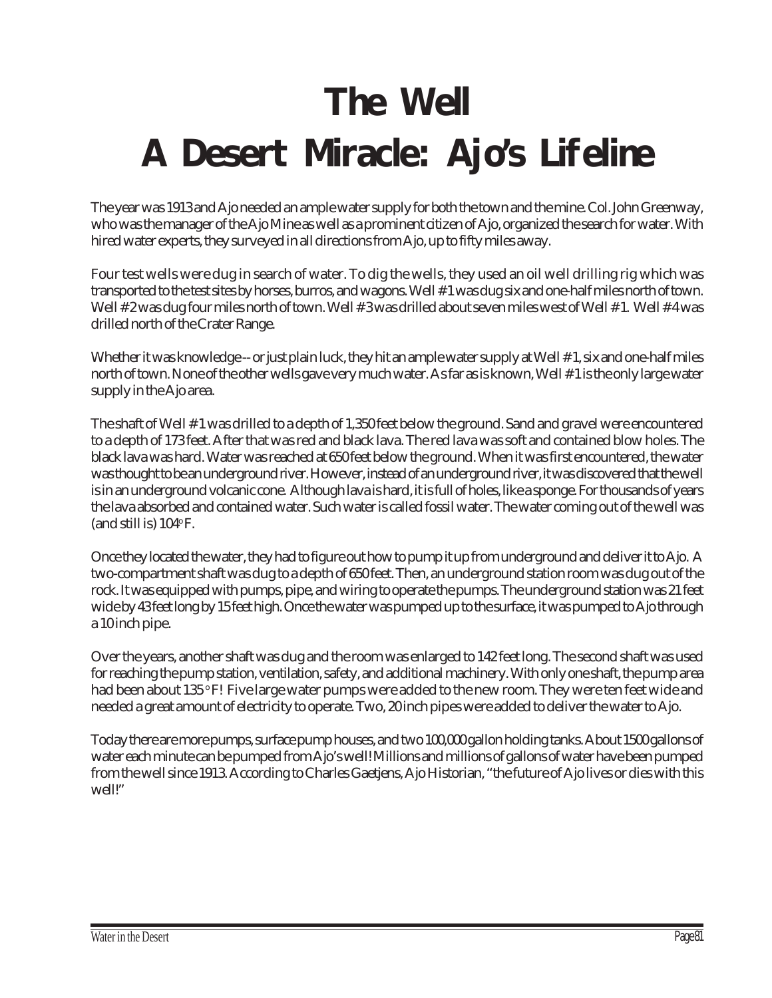# **The Well A Desert Miracle: Ajo's Lifeline**

The year was 1913 and Ajo needed an ample water supply for both the town and the mine. Col. John Greenway, who was the manager of the Ajo Mine as well as a prominent citizen of Ajo, organized the search for water. With hired water experts, they surveyed in all directions from Ajo, up to fifty miles away.

Four test wells were dug in search of water. To dig the wells, they used an oil well drilling rig which was transported to the test sites by horses, burros, and wagons. Well # 1 was dug six and one-half miles north of town. Well # 2 was dug four miles north of town. Well # 3 was drilled about seven miles west of Well # 1. Well # 4 was drilled north of the Crater Range.

Whether it was knowledge -- or just plain luck, they hit an ample water supply at Well # 1, six and one-half miles north of town. None of the other wells gave very much water. As far as is known, Well # 1 is the only large water supply in the Ajo area.

The shaft of Well # 1 was drilled to a depth of 1,350 feet below the ground. Sand and gravel were encountered to a depth of 173 feet. After that was red and black lava. The red lava was soft and contained blow holes. The black lava was hard. Water was reached at 650 feet below the ground. When it was first encountered, the water was thought to be an underground river. However, instead of an underground river, it was discovered that the well is in an underground volcanic cone. Although lava is hard, it is full of holes, like a sponge. For thousands of years the lava absorbed and contained water. Such water is called fossil water. The water coming out of the well was (and still is)  $104^{\circ}$  F.

Once they located the water, they had to figure out how to pump it up from underground and deliver it to Ajo. A two-compartment shaft was dug to a depth of 650 feet. Then, an underground station room was dug out of the rock. It was equipped with pumps, pipe, and wiring to operate the pumps. The underground station was 21 feet wide by 43 feet long by 15 feet high. Once the water was pumped up to the surface, it was pumped to Ajo through a 10 inch pipe.

Over the years, another shaft was dug and the room was enlarged to 142 feet long. The second shaft was used for reaching the pump station, ventilation, safety, and additional machinery. With only one shaft, the pump area had been about 135 °F! Five large water pumps were added to the new room. They were ten feet wide and needed a great amount of electricity to operate. Two, 20 inch pipes were added to deliver the water to Ajo.

Today there are more pumps, surface pump houses, and two 100,000 gallon holding tanks. About 1500 gallons of water each minute can be pumped from Ajo's well! Millions and millions of gallons of water have been pumped from the well since 1913. According to Charles Gaetjens, Ajo Historian, "the future of Ajo lives or dies with this well!"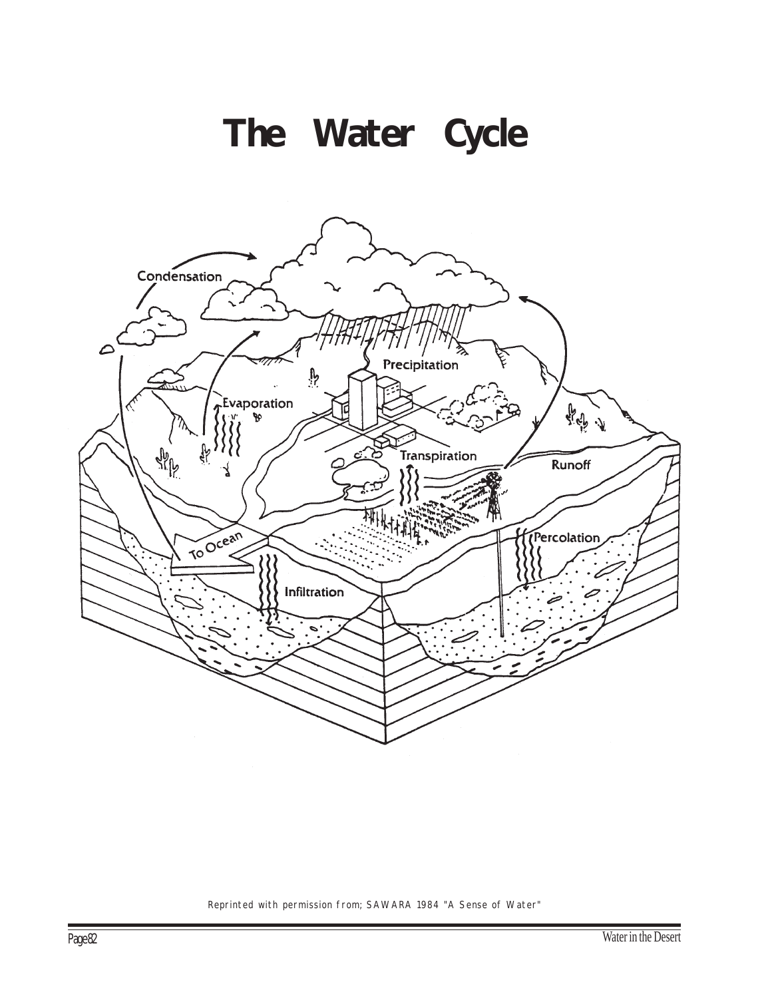



Reprinted with permission from; SAWARA 1984 "A Sense of Water"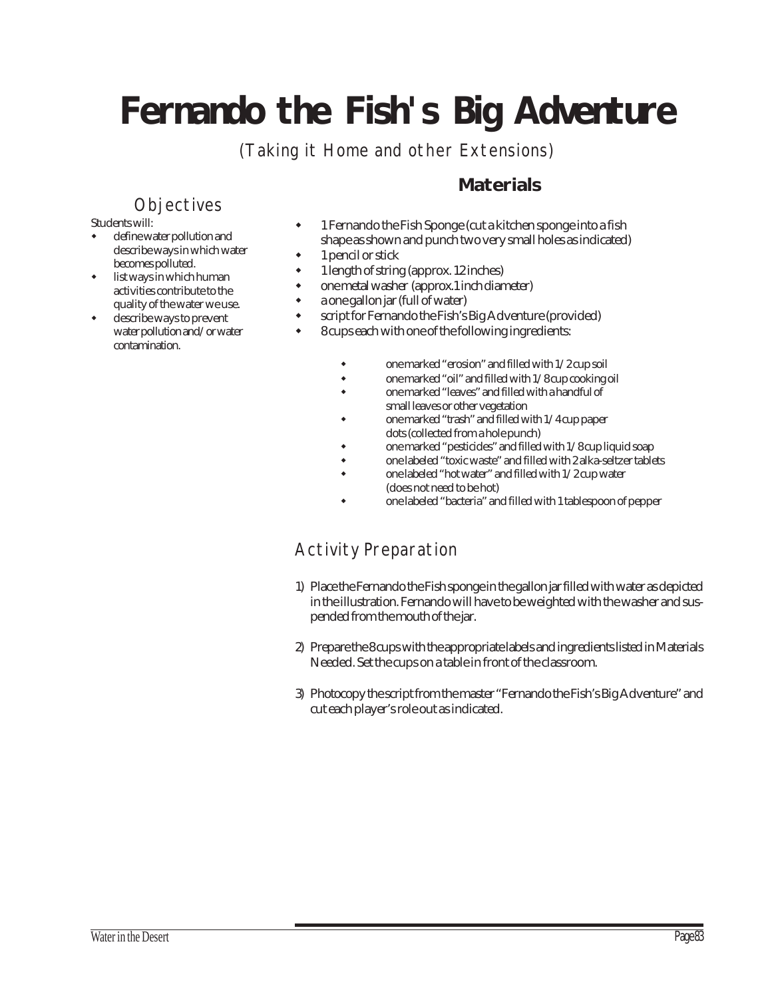# **Fernando the Fish's Big Adventure**

(Taking it Home and other Extensions)

## **Materials**

### **Objectives**

Students will:

- define water pollution and describe ways in which water becomes polluted.
- list ways in which human activities contribute to the quality of the water we use.
- describe ways to prevent water pollution and/or water contamination.
- " 1 Fernando the Fish Sponge (cut a kitchen sponge into a fish shape as shown and punch two very small holes as indicated)
- 1 pencil or stick
- 1 length of string (approx. 12 inches)
- one metal washer (approx.1 inch diameter)
- a one gallon jar (full of water)
- script for Fernando the Fish's Big Adventure (provided)
	- " 8 cups each with one of the following ingredients:
		- one marked "erosion" and filled with  $1/2$  cup soil
		- \* one marked "oil" and filled with 1/8 cup cooking oil
		- one marked "leaves" and filled with a handful of small leaves or other vegetation
		- one marked "trash" and filled with  $1/4$  cup paper dots (collected from a hole punch)
		- one marked "pesticides" and filled with 1/8 cup liquid soap
		- \* one labeled "toxic waste" and filled with 2 alka-seltzer tablets
		- one labeled "hot water" and filled with 1/2 cup water (does not need to be hot)
		- one labeled "bacteria" and filled with 1 tablespoon of pepper

## Activity Preparation

- 1) Place the Fernando the Fish sponge in the gallon jar filled with water as depicted in the illustration. Fernando will have to be weighted with the washer and suspended from the mouth of the jar.
- 2) Prepare the 8 cups with the appropriate labels and ingredients listed in Materials Needed. Set the cups on a table in front of the classroom.
- 3) Photocopy the script from the master "Fernando the Fish's Big Adventure" and cut each player's role out as indicated.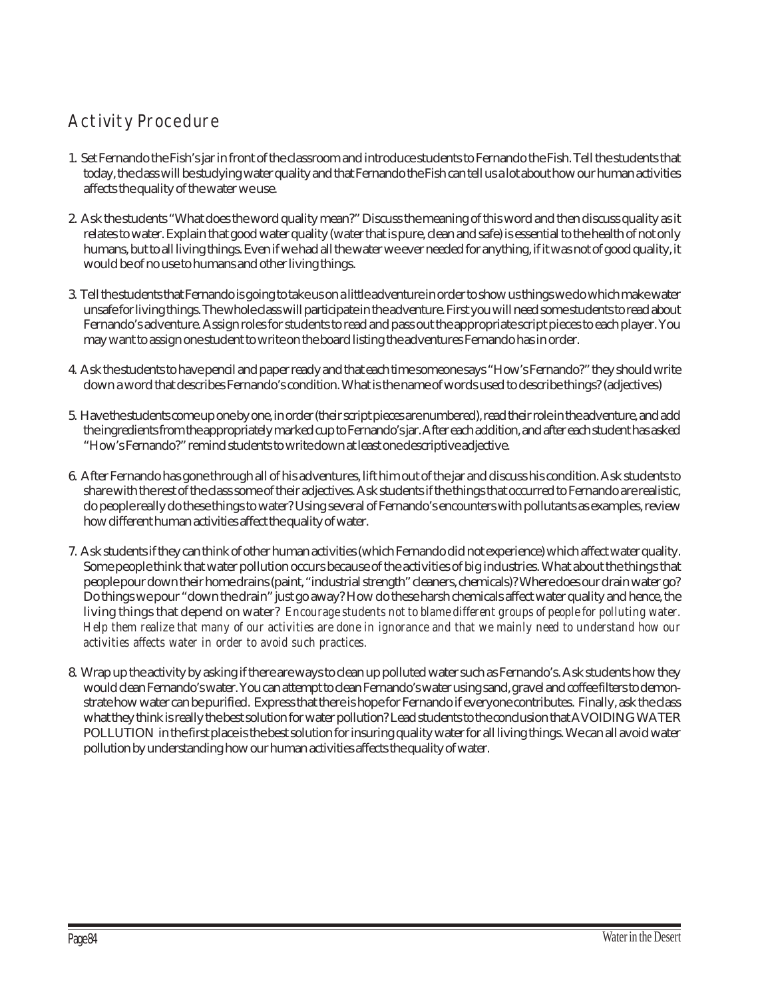# Activity Procedure

- 1. Set Fernando the Fish's jar in front of the classroom and introduce students to Fernando the Fish. Tell the students that today, the class will be studying water quality and that Fernando the Fish can tell us a lot about how our human activities affects the quality of the water we use.
- 2. Ask the students "What does the word quality mean?" Discuss the meaning of this word and then discuss quality as it relates to water. Explain that good water quality (water that is pure, clean and safe) is essential to the health of not only humans, but to all living things. Even if we had all the water we ever needed for anything, if it was not of good quality, it would be of no use to humans and other living things.
- 3. Tell the students that Fernando is going to take us on a little adventure in order to show us things we do which make water unsafe for living things. The whole class will participate in the adventure. First you will need some students to read about Fernando's adventure. Assign roles for students to read and pass out the appropriate script pieces to each player. You may want to assign one student to write on the board listing the adventures Fernando has in order.
- 4. Ask the students to have pencil and paper ready and that each time someone says "How's Fernando?" they should write down a word that describes Fernando's condition. What is the name of words used to describe things? (adjectives)
- 5. Have the students come up one by one, in order (their script pieces are numbered), read their role in the adventure, and add the ingredients from the appropriately marked cup to Fernando's jar. After each addition, and after each student has asked "How's Fernando?" remind students to write down at least one descriptive adjective.
- 6. After Fernando has gone through all of his adventures, lift him out of the jar and discuss his condition. Ask students to share with the rest of the class some of their adjectives. Ask students if the things that occurred to Fernando are realistic, do people really do these things to water? Using several of Fernando's encounters with pollutants as examples, review how different human activities affect the quality of water.
- 7. Ask students if they can think of other human activities (which Fernando did not experience) which affect water quality. Some people think that water pollution occurs because of the activities of big industries. What about the things that people pour down their home drains (paint, "industrial strength" cleaners, chemicals)? Where does our drain water go? Do things we pour "down the drain" just go away? How do these harsh chemicals affect water quality and hence, the living things that depend on water? *Encourage students not to blame different groups of people for polluting water. Help them realize that many of our activities are done in ignorance and that we mainly need to understand how our activities affects water in order to avoid such practices.*
- 8. Wrap up the activity by asking if there are ways to clean up polluted water such as Fernando's. Ask students how they would clean Fernando's water. You can attempt to clean Fernando's water using sand, gravel and coffee filters to demonstrate how water can be purified. Express that there is hope for Fernando if everyone contributes. Finally, ask the class what they think is really the best solution for water pollution? Lead students to the conclusion that AVOIDING WATER POLLUTION in the first place is the best solution for insuring quality water for all living things. We can all avoid water pollution by understanding how our human activities affects the quality of water.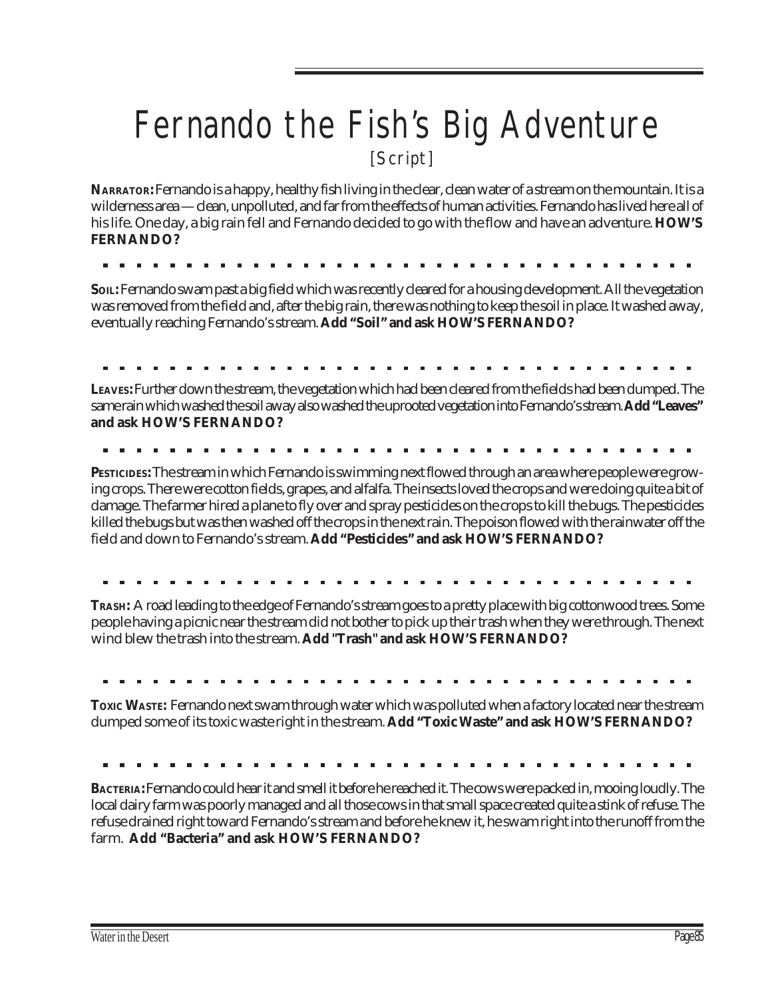# Fernando the Fish's Big Adventure [Script]

**NARRATOR:** Fernando is a happy, healthy fish living in the clear, clean water of a stream on the mountain. It is a wilderness area — clean, unpolluted, and far from the effects of human activities. Fernando has lived here all of his life. One day, a big rain fell and Fernando decided to go with the flow and have an adventure. **HOW'S FERNANDO?**

**SOIL:** Fernando swam past a big field which was recently cleared for a housing development. All the vegetation was removed from the field and, after the big rain, there was nothing to keep the soil in place. It washed away, eventually reaching Fernando's stream. **Add "Soil" and ask HOW'S FERNANDO?**

**LEAVES:** Further down the stream, the vegetation which had been cleared from the fields had been dumped. The same rain which washed the soil away also washed the uprooted vegetation into Fernando's stream. **Add "Leaves" and ask HOW'S FERNANDO?**

**PESTICIDES:** The stream in which Fernando is swimming next flowed through an area where people were growing crops. There were cotton fields, grapes, and alfalfa. The insects loved the crops and were doing quite a bit of damage. The farmer hired a plane to fly over and spray pesticides on the crops to kill the bugs. The pesticides killed the bugs but was then washed off the crops in the next rain. The poison flowed with the rainwater off the field and down to Fernando's stream. **Add "Pesticides" and ask HOW'S FERNANDO?**

**TRASH:** A road leading to the edge of Fernando's stream goes to a pretty place with big cottonwood trees. Some people having a picnic near the stream did not bother to pick up their trash when they were through. The next wind blew the trash into the stream. **Add "Trash" and ask HOW'S FERNANDO?**

**TOXIC WASTE:** Fernando next swam through water which was polluted when a factory located near the stream dumped some of its toxic waste right in the stream. **Add "Toxic Waste" and ask HOW'S FERNANDO?**

**BACTERIA:** Fernando could hear it and smell it before he reached it. The cows were packed in, mooing loudly. The local dairy farm was poorly managed and all those cows in that small space created quite a stink of refuse. The refuse drained right toward Fernando's stream and before he knew it, he swam right into the runoff from the farm. **Add "Bacteria" and ask HOW'S FERNANDO?**